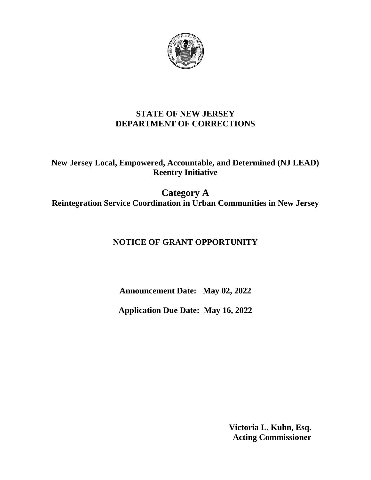

## **STATE OF NEW JERSEY DEPARTMENT OF CORRECTIONS**

**New Jersey Local, Empowered, Accountable, and Determined (NJ LEAD) Reentry Initiative**

**Category A Reintegration Service Coordination in Urban Communities in New Jersey**

# **NOTICE OF GRANT OPPORTUNITY**

**Announcement Date: May 02, 2022**

**Application Due Date: May 16, 2022**

 **Victoria L. Kuhn, Esq. Acting Commissioner**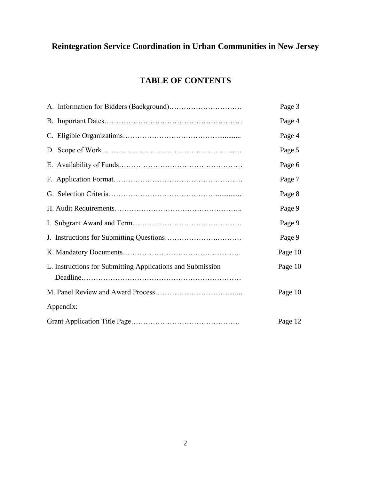# **Reintegration Service Coordination in Urban Communities in New Jersey**

# **TABLE OF CONTENTS**

|                                                            | Page 3  |
|------------------------------------------------------------|---------|
|                                                            | Page 4  |
|                                                            | Page 4  |
|                                                            | Page 5  |
|                                                            | Page 6  |
|                                                            | Page 7  |
|                                                            | Page 8  |
|                                                            | Page 9  |
|                                                            | Page 9  |
|                                                            | Page 9  |
|                                                            | Page 10 |
| L. Instructions for Submitting Applications and Submission | Page 10 |
|                                                            | Page 10 |
| Appendix:                                                  |         |
|                                                            | Page 12 |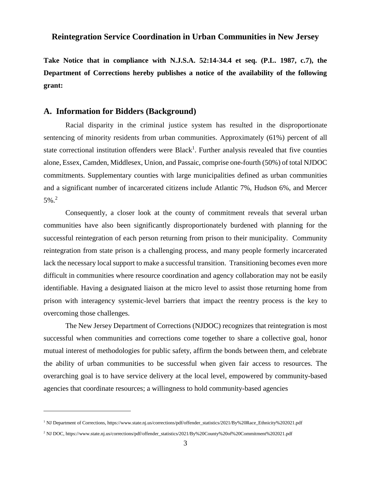#### **Reintegration Service Coordination in Urban Communities in New Jersey**

**Take Notice that in compliance with N.J.S.A. 52:14-34.4 et seq. (P.L. 1987, c.7), the Department of Corrections hereby publishes a notice of the availability of the following grant:**

#### **A. Information for Bidders (Background)**

Racial disparity in the criminal justice system has resulted in the disproportionate sentencing of minority residents from urban communities. Approximately (61%) percent of all state correctional institution offenders were Black<sup>1</sup>. Further analysis revealed that five counties alone, Essex, Camden, Middlesex, Union, and Passaic, comprise one-fourth (50%) of total NJDOC commitments. Supplementary counties with large municipalities defined as urban communities and a significant number of incarcerated citizens include Atlantic 7%, Hudson 6%, and Mercer 5%.<sup>2</sup>

Consequently, a closer look at the county of commitment reveals that several urban communities have also been significantly disproportionately burdened with planning for the successful reintegration of each person returning from prison to their municipality. Community reintegration from state prison is a challenging process, and many people formerly incarcerated lack the necessary local support to make a successful transition. Transitioning becomes even more difficult in communities where resource coordination and agency collaboration may not be easily identifiable. Having a designated liaison at the micro level to assist those returning home from prison with interagency systemic-level barriers that impact the reentry process is the key to overcoming those challenges.

The New Jersey Department of Corrections (NJDOC) recognizes that reintegration is most successful when communities and corrections come together to share a collective goal, honor mutual interest of methodologies for public safety, affirm the bonds between them, and celebrate the ability of urban communities to be successful when given fair access to resources. The overarching goal is to have service delivery at the local level, empowered by community-based agencies that coordinate resources; a willingness to hold community-based agencies

 $\overline{a}$ 

<sup>1</sup> NJ Department of Corrections, https://www.state.nj.us/corrections/pdf/offender\_statistics/2021/By%20Race\_Ethnicity%202021.pdf

<sup>2</sup> NJ DOC, https://www.state.nj.us/corrections/pdf/offender\_statistics/2021/By%20County%20of%20Commitment%202021.pdf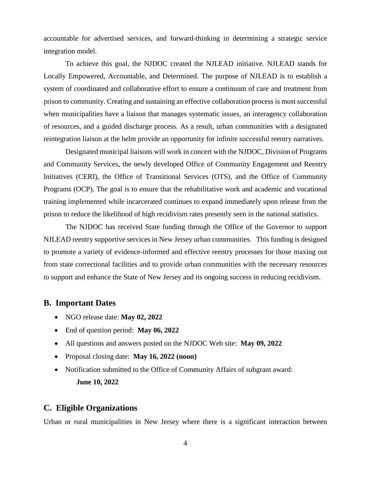accountable for advertised services, and forward-thinking in determining a strategic service integration model.

To achieve this goal, the NJDOC created the NJLEAD initiative. NJLEAD stands for Locally Empowered, Accountable, and Determined. The purpose of NJLEAD is to establish a system of coordinated and collaborative effort to ensure a continuum of care and treatment from prison to community. Creating and sustaining an effective collaboration process is most successful when municipalities have a liaison that manages systematic issues, an interagency collaboration of resources, and a guided discharge process. As a result, urban communities with a designated reintegration liaison at the helm provide an opportunity for infinite successful reentry narratives.

Designated municipal liaisons will work in concert with the NJDOC, Division of Programs and Community Services, the newly developed Office of Community Engagement and Reentry Initiatives (CERI), the Office of Transitional Services (OTS), and the Office of Community Programs (OCP). The goal is to ensure that the rehabilitative work and academic and vocational training implemented while incarcerated continues to expand immediately upon release from the prison to reduce the likelihood of high recidivism rates presently seen in the national statistics.

 The NJDOC has received State funding through the Office of the Governor to support NJLEAD reentry supportive services in New Jersey urban communities. This funding is designed to promote a variety of evidence-informed and effective reentry processes for those maxing out from state correctional facilities and to provide urban communities with the necessary resources to support and enhance the State of New Jersey and its ongoing success in reducing recidivism.

#### **B. Important Dates**

- NGO release date: **May 02, 2022**
- End of question period: **May 06, 2022**
- All questions and answers posted on the NJDOC Web site: **May 09, 2022**
- Proposal closing date: **May 16, 2022 (noon)**
- Notification submitted to the Office of Community Affairs of subgrant award: **June 10, 2022**

#### **C. Eligible Organizations**

Urban or rural municipalities in New Jersey where there is a significant interaction between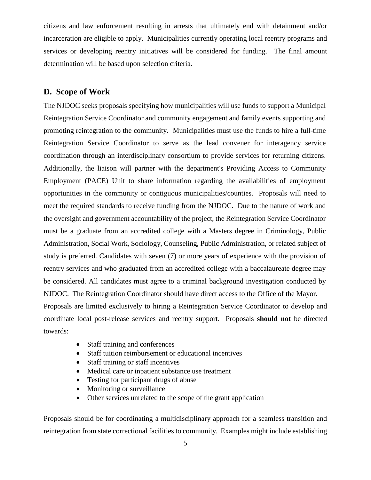citizens and law enforcement resulting in arrests that ultimately end with detainment and/or incarceration are eligible to apply. Municipalities currently operating local reentry programs and services or developing reentry initiatives will be considered for funding. The final amount determination will be based upon selection criteria.

#### **D. Scope of Work**

The NJDOC seeks proposals specifying how municipalities will use funds to support a Municipal Reintegration Service Coordinator and community engagement and family events supporting and promoting reintegration to the community. Municipalities must use the funds to hire a full-time Reintegration Service Coordinator to serve as the lead convener for interagency service coordination through an interdisciplinary consortium to provide services for returning citizens. Additionally, the liaison will partner with the department's Providing Access to Community Employment (PACE) Unit to share information regarding the availabilities of employment opportunities in the community or contiguous municipalities/counties. Proposals will need to meet the required standards to receive funding from the NJDOC. Due to the nature of work and the oversight and government accountability of the project, the Reintegration Service Coordinator must be a graduate from an accredited college with a Masters degree in Criminology, Public Administration, Social Work, Sociology, Counseling, Public Administration, or related subject of study is preferred. Candidates with seven (7) or more years of experience with the provision of reentry services and who graduated from an accredited college with a baccalaureate degree may be considered. All candidates must agree to a criminal background investigation conducted by NJDOC. The Reintegration Coordinator should have direct access to the Office of the Mayor. Proposals are limited exclusively to hiring a Reintegration Service Coordinator to develop and coordinate local post-release services and reentry support. Proposals **should not** be directed towards:

- Staff training and conferences
- Staff tuition reimbursement or educational incentives
- Staff training or staff incentives
- Medical care or inpatient substance use treatment
- Testing for participant drugs of abuse
- Monitoring or surveillance
- Other services unrelated to the scope of the grant application

Proposals should be for coordinating a multidisciplinary approach for a seamless transition and reintegration from state correctional facilities to community. Examples might include establishing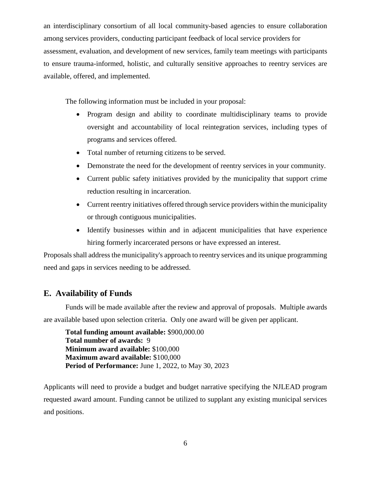an interdisciplinary consortium of all local community-based agencies to ensure collaboration among services providers, conducting participant feedback of local service providers for assessment, evaluation, and development of new services, family team meetings with participants to ensure trauma-informed, holistic, and culturally sensitive approaches to reentry services are available, offered, and implemented.

The following information must be included in your proposal:

- Program design and ability to coordinate multidisciplinary teams to provide oversight and accountability of local reintegration services, including types of programs and services offered.
- Total number of returning citizens to be served.
- Demonstrate the need for the development of reentry services in your community.
- Current public safety initiatives provided by the municipality that support crime reduction resulting in incarceration.
- Current reentry initiatives offered through service providers within the municipality or through contiguous municipalities.
- Identify businesses within and in adjacent municipalities that have experience hiring formerly incarcerated persons or have expressed an interest.

Proposals shall address the municipality's approach to reentry services and its unique programming need and gaps in services needing to be addressed.

### **E. Availability of Funds**

Funds will be made available after the review and approval of proposals. Multiple awards are available based upon selection criteria. Only one award will be given per applicant.

**Total funding amount available:** \$900,000.00 **Total number of awards:** 9 **Minimum award available:** \$100,000 **Maximum award available:** \$100,000 **Period of Performance:** June 1, 2022, to May 30, 2023

Applicants will need to provide a budget and budget narrative specifying the NJLEAD program requested award amount. Funding cannot be utilized to supplant any existing municipal services and positions.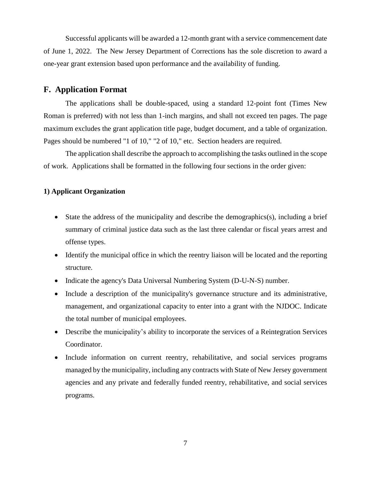Successful applicants will be awarded a 12-month grant with a service commencement date of June 1, 2022. The New Jersey Department of Corrections has the sole discretion to award a one-year grant extension based upon performance and the availability of funding.

#### **F. Application Format**

The applications shall be double-spaced, using a standard 12-point font (Times New Roman is preferred) with not less than 1-inch margins, and shall not exceed ten pages. The page maximum excludes the grant application title page, budget document, and a table of organization. Pages should be numbered "1 of 10," "2 of 10," etc. Section headers are required.

The application shall describe the approach to accomplishing the tasks outlined in the scope of work. Applications shall be formatted in the following four sections in the order given:

#### **1) Applicant Organization**

- State the address of the municipality and describe the demographics(s), including a brief summary of criminal justice data such as the last three calendar or fiscal years arrest and offense types.
- Identify the municipal office in which the reentry liaison will be located and the reporting structure.
- Indicate the agency's Data Universal Numbering System (D-U-N-S) number.
- Include a description of the municipality's governance structure and its administrative, management, and organizational capacity to enter into a grant with the NJDOC. Indicate the total number of municipal employees.
- Describe the municipality's ability to incorporate the services of a Reintegration Services Coordinator.
- Include information on current reentry, rehabilitative, and social services programs managed by the municipality, including any contracts with State of New Jersey government agencies and any private and federally funded reentry, rehabilitative, and social services programs.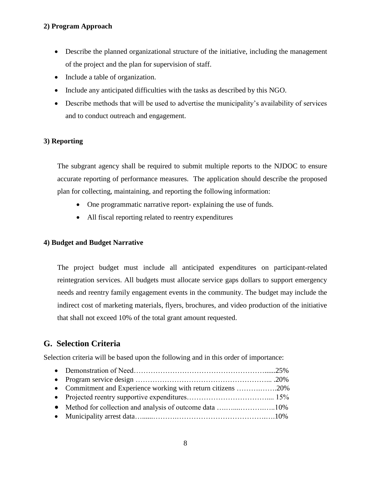#### **2) Program Approach**

- Describe the planned organizational structure of the initiative, including the management of the project and the plan for supervision of staff.
- Include a table of organization.
- Include any anticipated difficulties with the tasks as described by this NGO.
- Describe methods that will be used to advertise the municipality's availability of services and to conduct outreach and engagement.

#### **3) Reporting**

The subgrant agency shall be required to submit multiple reports to the NJDOC to ensure accurate reporting of performance measures. The application should describe the proposed plan for collecting, maintaining, and reporting the following information:

- One programmatic narrative report- explaining the use of funds.
- All fiscal reporting related to reentry expenditures

#### **4) Budget and Budget Narrative**

The project budget must include all anticipated expenditures on participant-related reintegration services. All budgets must allocate service gaps dollars to support emergency needs and reentry family engagement events in the community. The budget may include the indirect cost of marketing materials, flyers, brochures, and video production of the initiative that shall not exceed 10% of the total grant amount requested.

### **G. Selection Criteria**

Selection criteria will be based upon the following and in this order of importance:

| • Commitment and Experience working with return citizens 20% |  |
|--------------------------------------------------------------|--|
|                                                              |  |
|                                                              |  |
|                                                              |  |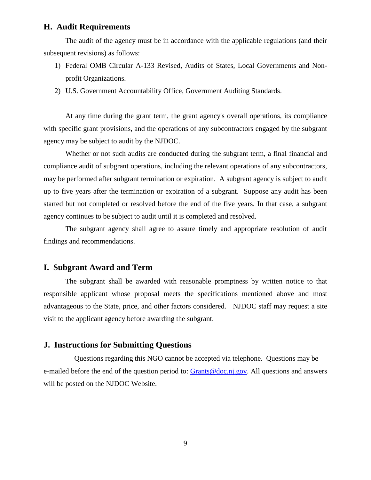#### **H. Audit Requirements**

The audit of the agency must be in accordance with the applicable regulations (and their subsequent revisions) as follows:

- 1) Federal OMB Circular A-133 Revised, Audits of States, Local Governments and Nonprofit Organizations.
- 2) U.S. Government Accountability Office, Government Auditing Standards.

At any time during the grant term, the grant agency's overall operations, its compliance with specific grant provisions, and the operations of any subcontractors engaged by the subgrant agency may be subject to audit by the NJDOC.

Whether or not such audits are conducted during the subgrant term, a final financial and compliance audit of subgrant operations, including the relevant operations of any subcontractors, may be performed after subgrant termination or expiration. A subgrant agency is subject to audit up to five years after the termination or expiration of a subgrant. Suppose any audit has been started but not completed or resolved before the end of the five years. In that case, a subgrant agency continues to be subject to audit until it is completed and resolved.

The subgrant agency shall agree to assure timely and appropriate resolution of audit findings and recommendations.

#### **I. Subgrant Award and Term**

The subgrant shall be awarded with reasonable promptness by written notice to that responsible applicant whose proposal meets the specifications mentioned above and most advantageous to the State, price, and other factors considered. NJDOC staff may request a site visit to the applicant agency before awarding the subgrant.

#### **J. Instructions for Submitting Questions**

Questions regarding this NGO cannot be accepted via telephone. Questions may be e-mailed before the end of the question period to: [Grants@doc.nj.gov.](mailto:Grants@doc.nj.gov) All questions and answers will be posted on the NJDOC Website.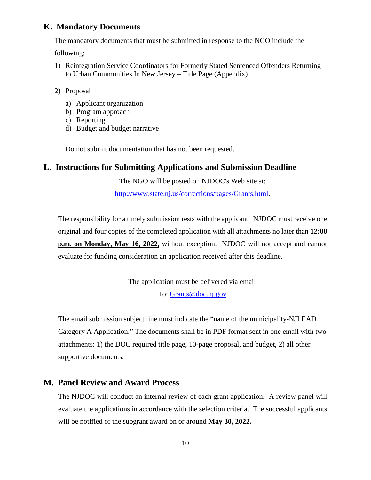#### **K. Mandatory Documents**

The mandatory documents that must be submitted in response to the NGO include the

following:

- 1) Reintegration Service Coordinators for Formerly Stated Sentenced Offenders Returning to Urban Communities In New Jersey – Title Page (Appendix)
- 2) Proposal
	- a) Applicant organization
	- b) Program approach
	- c) Reporting
	- d) Budget and budget narrative

Do not submit documentation that has not been requested.

#### **L. Instructions for Submitting Applications and Submission Deadline**

The NGO will be posted on NJDOC's Web site at:

[http://www.state.nj.us/corrections/pages/Grants.html.](http://www.state.nj.us/corrections/pages/Grants.html)

The responsibility for a timely submission rests with the applicant. NJDOC must receive one original and four copies of the completed application with all attachments no later than **12:00 p.m. on Monday, May 16, 2022,** without exception. NJDOC will not accept and cannot evaluate for funding consideration an application received after this deadline.

> The application must be delivered via email To: [Grants@doc.nj.gov](mailto:Grants@doc.nj.gov)

The email submission subject line must indicate the "name of the municipality-NJLEAD Category A Application." The documents shall be in PDF format sent in one email with two attachments: 1) the DOC required title page, 10-page proposal, and budget, 2) all other supportive documents.

### **M. Panel Review and Award Process**

The NJDOC will conduct an internal review of each grant application. A review panel will evaluate the applications in accordance with the selection criteria. The successful applicants will be notified of the subgrant award on or around **May 30, 2022.**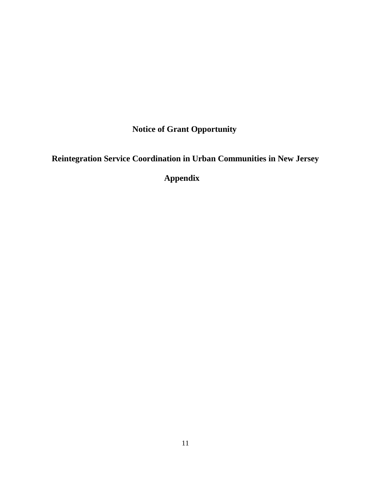**Notice of Grant Opportunity**

**Reintegration Service Coordination in Urban Communities in New Jersey**

 **Appendix**